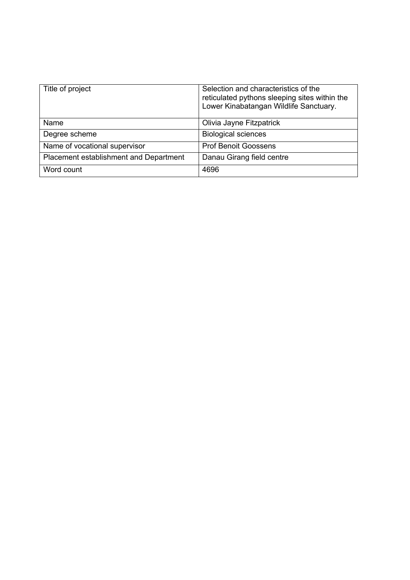| Title of project                       | Selection and characteristics of the<br>reticulated pythons sleeping sites within the<br>Lower Kinabatangan Wildlife Sanctuary. |
|----------------------------------------|---------------------------------------------------------------------------------------------------------------------------------|
| Name                                   | Olivia Jayne Fitzpatrick                                                                                                        |
| Degree scheme                          | <b>Biological sciences</b>                                                                                                      |
| Name of vocational supervisor          | <b>Prof Benoit Goossens</b>                                                                                                     |
| Placement establishment and Department | Danau Girang field centre                                                                                                       |
| Word count                             | 4696                                                                                                                            |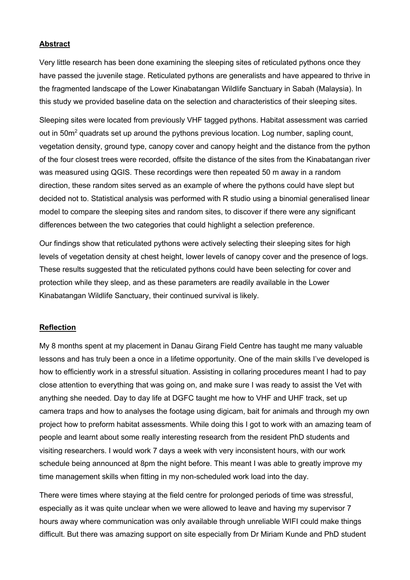# **Abstract**

Very little research has been done examining the sleeping sites of reticulated pythons once they have passed the juvenile stage. Reticulated pythons are generalists and have appeared to thrive in the fragmented landscape of the Lower Kinabatangan Wildlife Sanctuary in Sabah (Malaysia). In this study we provided baseline data on the selection and characteristics of their sleeping sites.

Sleeping sites were located from previously VHF tagged pythons. Habitat assessment was carried out in 50m<sup>2</sup> quadrats set up around the pythons previous location. Log number, sapling count, vegetation density, ground type, canopy cover and canopy height and the distance from the python of the four closest trees were recorded, offsite the distance of the sites from the Kinabatangan river was measured using QGIS. These recordings were then repeated 50 m away in a random direction, these random sites served as an example of where the pythons could have slept but decided not to. Statistical analysis was performed with R studio using a binomial generalised linear model to compare the sleeping sites and random sites, to discover if there were any significant differences between the two categories that could highlight a selection preference.

Our findings show that reticulated pythons were actively selecting their sleeping sites for high levels of vegetation density at chest height, lower levels of canopy cover and the presence of logs. These results suggested that the reticulated pythons could have been selecting for cover and protection while they sleep, and as these parameters are readily available in the Lower Kinabatangan Wildlife Sanctuary, their continued survival is likely.

### **Reflection**

My 8 months spent at my placement in Danau Girang Field Centre has taught me many valuable lessons and has truly been a once in a lifetime opportunity. One of the main skills I've developed is how to efficiently work in a stressful situation. Assisting in collaring procedures meant I had to pay close attention to everything that was going on, and make sure I was ready to assist the Vet with anything she needed. Day to day life at DGFC taught me how to VHF and UHF track, set up camera traps and how to analyses the footage using digicam, bait for animals and through my own project how to preform habitat assessments. While doing this I got to work with an amazing team of people and learnt about some really interesting research from the resident PhD students and visiting researchers. I would work 7 days a week with very inconsistent hours, with our work schedule being announced at 8pm the night before. This meant I was able to greatly improve my time management skills when fitting in my non-scheduled work load into the day.

There were times where staying at the field centre for prolonged periods of time was stressful, especially as it was quite unclear when we were allowed to leave and having my supervisor 7 hours away where communication was only available through unreliable WIFI could make things difficult. But there was amazing support on site especially from Dr Miriam Kunde and PhD student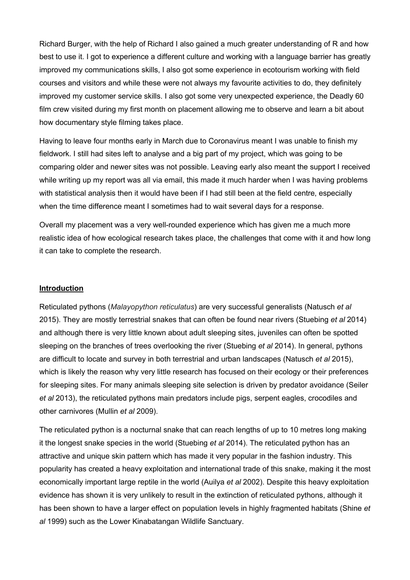Richard Burger, with the help of Richard I also gained a much greater understanding of R and how best to use it. I got to experience a different culture and working with a language barrier has greatly improved my communications skills, I also got some experience in ecotourism working with field courses and visitors and while these were not always my favourite activities to do, they definitely improved my customer service skills. I also got some very unexpected experience, the Deadly 60 film crew visited during my first month on placement allowing me to observe and learn a bit about how documentary style filming takes place.

Having to leave four months early in March due to Coronavirus meant I was unable to finish my fieldwork. I still had sites left to analyse and a big part of my project, which was going to be comparing older and newer sites was not possible. Leaving early also meant the support I received while writing up my report was all via email, this made it much harder when I was having problems with statistical analysis then it would have been if I had still been at the field centre, especially when the time difference meant I sometimes had to wait several days for a response.

Overall my placement was a very well-rounded experience which has given me a much more realistic idea of how ecological research takes place, the challenges that come with it and how long it can take to complete the research.

### **Introduction**

Reticulated pythons (*Malayopython reticulatus*) are very successful generalists (Natusch *et al*  2015). They are mostly terrestrial snakes that can often be found near rivers (Stuebing *et al* 2014) and although there is very little known about adult sleeping sites, juveniles can often be spotted sleeping on the branches of trees overlooking the river (Stuebing *et al* 2014). In general, pythons are difficult to locate and survey in both terrestrial and urban landscapes (Natusch *et al* 2015), which is likely the reason why very little research has focused on their ecology or their preferences for sleeping sites. For many animals sleeping site selection is driven by predator avoidance (Seiler *et al* 2013), the reticulated pythons main predators include pigs, serpent eagles, crocodiles and other carnivores (Mullin *et al* 2009).

The reticulated python is a nocturnal snake that can reach lengths of up to 10 metres long making it the longest snake species in the world (Stuebing *et al* 2014). The reticulated python has an attractive and unique skin pattern which has made it very popular in the fashion industry. This popularity has created a heavy exploitation and international trade of this snake, making it the most economically important large reptile in the world (Auilya *et al* 2002). Despite this heavy exploitation evidence has shown it is very unlikely to result in the extinction of reticulated pythons, although it has been shown to have a larger effect on population levels in highly fragmented habitats (Shine *et al* 1999) such as the Lower Kinabatangan Wildlife Sanctuary.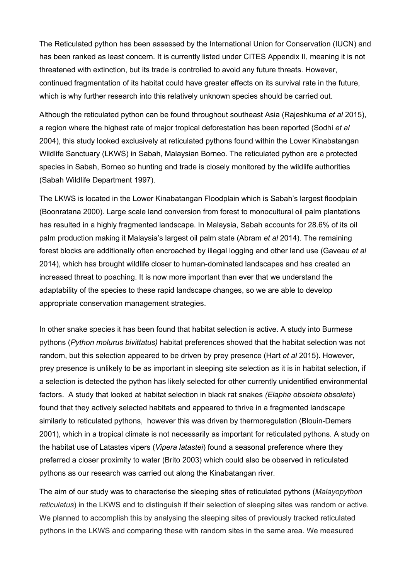The Reticulated python has been assessed by the International Union for Conservation (IUCN) and has been ranked as least concern. It is currently listed under CITES Appendix II, meaning it is not threatened with extinction, but its trade is controlled to avoid any future threats. However, continued fragmentation of its habitat could have greater effects on its survival rate in the future, which is why further research into this relatively unknown species should be carried out.

Although the reticulated python can be found throughout southeast Asia (Rajeshkuma *et al* 2015), a region where the highest rate of major tropical deforestation has been reported (Sodhi *et al*  2004), this study looked exclusively at reticulated pythons found within the Lower Kinabatangan Wildlife Sanctuary (LKWS) in Sabah, Malaysian Borneo. The reticulated python are a protected species in Sabah, Borneo so hunting and trade is closely monitored by the wildlife authorities (Sabah Wildlife Department 1997).

The LKWS is located in the Lower Kinabatangan Floodplain which is Sabah's largest floodplain (Boonratana 2000). Large scale land conversion from forest to monocultural oil palm plantations has resulted in a highly fragmented landscape. In Malaysia, Sabah accounts for 28.6% of its oil palm production making it Malaysia's largest oil palm state (Abram *et al* 2014). The remaining forest blocks are additionally often encroached by illegal logging and other land use (Gaveau *et al*  2014), which has brought wildlife closer to human-dominated landscapes and has created an increased threat to poaching. It is now more important than ever that we understand the adaptability of the species to these rapid landscape changes, so we are able to develop appropriate conservation management strategies.

In other snake species it has been found that habitat selection is active. A study into Burmese pythons (*Python molurus bivittatus)* habitat preferences showed that the habitat selection was not random, but this selection appeared to be driven by prey presence (Hart *et al* 2015). However, prey presence is unlikely to be as important in sleeping site selection as it is in habitat selection, if a selection is detected the python has likely selected for other currently unidentified environmental factors. A study that looked at habitat selection in black rat snakes *(Elaphe obsoleta obsolete*) found that they actively selected habitats and appeared to thrive in a fragmented landscape similarly to reticulated pythons, however this was driven by thermoregulation (Blouin-Demers 2001), which in a tropical climate is not necessarily as important for reticulated pythons. A study on the habitat use of Latastes vipers (*Vipera latastei*) found a seasonal preference where they preferred a closer proximity to water (Brito 2003) which could also be observed in reticulated pythons as our research was carried out along the Kinabatangan river.

The aim of our study was to characterise the sleeping sites of reticulated pythons (*Malayopython reticulatus*) in the LKWS and to distinguish if their selection of sleeping sites was random or active. We planned to accomplish this by analysing the sleeping sites of previously tracked reticulated pythons in the LKWS and comparing these with random sites in the same area. We measured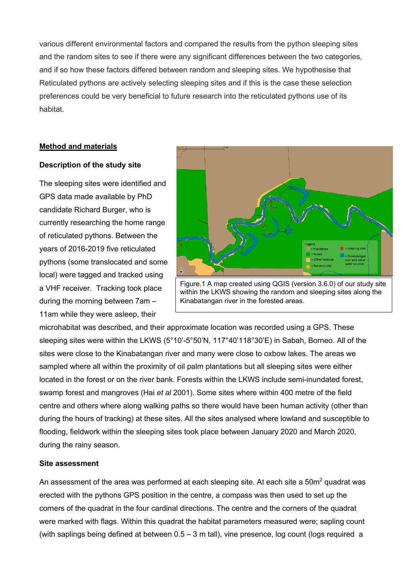various different environmental factors and compared the results from the python sleeping sites and the random sites to see if there were any significant differences between the two categories, and if so how these factors differed between random and sleeping sites. We hypothesise that Reticulated pythons are actively selecting sleeping sites and if this is the case these selection preferences could be very beneficial to future research into the reticulated pythons use of its habitat.

## **Method and materials**

#### **Description of the study site**

The sleeping sites were identified and GPS data made available by PhD candidate Richard Burger, who is currently researching the home range of reticulated pythons. Between the years of 2016-2019 five reticulated pythons (some translocated and some local) were tagged and tracked using a VHF receiver. Tracking took place during the morning between 7am – 11am while they were asleep, their



Figure.1 A map created using QGIS (version 3.6.0) of our study site within the LKWS showing the random and sleeping sites along the Kinabatangan river in the forested areas.

microhabitat was described, and their approximate location was recorded using a GPS. These sleeping sites were within the LKWS (5°10'-5°50'N, 117°40'118°30'E) in Sabah, Borneo. All of the sites were close to the Kinabatangan river and many were close to oxbow lakes. The areas we sampled where all within the proximity of oil palm plantations but all sleeping sites were either located in the forest or on the river bank. Forests within the LKWS include semi-inundated forest, swamp forest and mangroves (Hai *et al* 2001). Some sites where within 400 metre of the field centre and others where along walking paths so there would have been human activity (other than during the hours of tracking) at these sites. All the sites analysed where lowland and susceptible to flooding, fieldwork within the sleeping sites took place between January 2020 and March 2020, during the rainy season.

## **Site assessment**

An assessment of the area was performed at each sleeping site. At each site a 50m<sup>2</sup> quadrat was erected with the pythons GPS position in the centre, a compass was then used to set up the corners of the quadrat in the four cardinal directions. The centre and the corners of the quadrat were marked with flags. Within this quadrat the habitat parameters measured were; sapling count (with saplings being defined at between 0.5 – 3 m tall), vine presence, log count (logs required a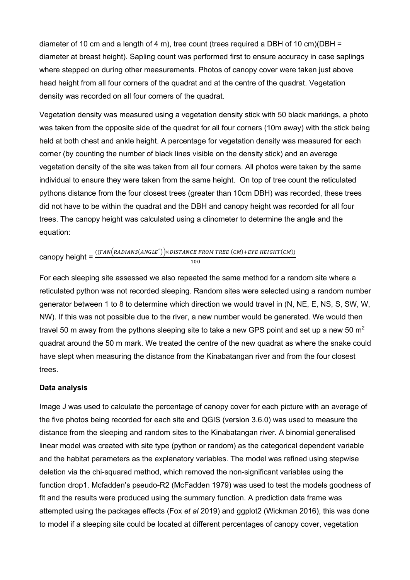diameter of 10 cm and a length of 4 m), tree count (trees required a DBH of 10 cm)(DBH = diameter at breast height). Sapling count was performed first to ensure accuracy in case saplings where stepped on during other measurements. Photos of canopy cover were taken just above head height from all four corners of the quadrat and at the centre of the quadrat. Vegetation density was recorded on all four corners of the quadrat.

Vegetation density was measured using a vegetation density stick with 50 black markings, a photo was taken from the opposite side of the quadrat for all four corners (10m away) with the stick being held at both chest and ankle height. A percentage for vegetation density was measured for each corner (by counting the number of black lines visible on the density stick) and an average vegetation density of the site was taken from all four corners. All photos were taken by the same individual to ensure they were taken from the same height. On top of tree count the reticulated pythons distance from the four closest trees (greater than 10cm DBH) was recorded, these trees did not have to be within the quadrat and the DBH and canopy height was recorded for all four trees. The canopy height was calculated using a clinometer to determine the angle and the equation:

$$
\text{canopy height} = \frac{((TAN\left(RADIANS\left(ANGLE^{\circ}\right)\right) \times DISTANCE\ FROM\ TREE\ (CM) + EYE\ HEIGHT(CM))}{100}
$$

For each sleeping site assessed we also repeated the same method for a random site where a reticulated python was not recorded sleeping. Random sites were selected using a random number generator between 1 to 8 to determine which direction we would travel in (N, NE, E, NS, S, SW, W, NW). If this was not possible due to the river, a new number would be generated. We would then travel 50 m away from the pythons sleeping site to take a new GPS point and set up a new 50  $m<sup>2</sup>$ quadrat around the 50 m mark. We treated the centre of the new quadrat as where the snake could have slept when measuring the distance from the Kinabatangan river and from the four closest trees.

#### **Data analysis**

Image J was used to calculate the percentage of canopy cover for each picture with an average of the five photos being recorded for each site and QGIS (version 3.6.0) was used to measure the distance from the sleeping and random sites to the Kinabatangan river. A binomial generalised linear model was created with site type (python or random) as the categorical dependent variable and the habitat parameters as the explanatory variables. The model was refined using stepwise deletion via the chi-squared method, which removed the non-significant variables using the function drop1. Mcfadden's pseudo-R2 (McFadden 1979) was used to test the models goodness of fit and the results were produced using the summary function. A prediction data frame was attempted using the packages effects (Fox *et al* 2019) and ggplot2 (Wickman 2016), this was done to model if a sleeping site could be located at different percentages of canopy cover, vegetation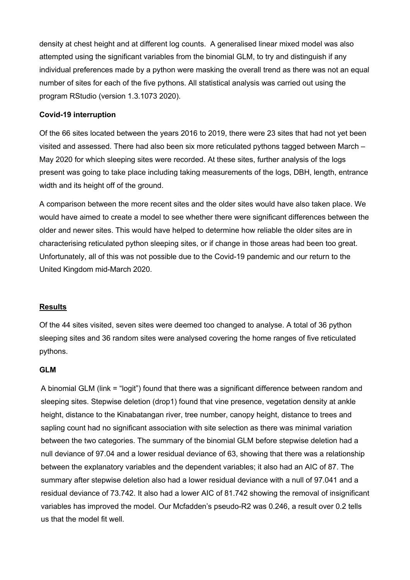density at chest height and at different log counts. A generalised linear mixed model was also attempted using the significant variables from the binomial GLM, to try and distinguish if any individual preferences made by a python were masking the overall trend as there was not an equal number of sites for each of the five pythons. All statistical analysis was carried out using the program RStudio (version 1.3.1073 2020).

## **Covid-19 interruption**

Of the 66 sites located between the years 2016 to 2019, there were 23 sites that had not yet been visited and assessed. There had also been six more reticulated pythons tagged between March – May 2020 for which sleeping sites were recorded. At these sites, further analysis of the logs present was going to take place including taking measurements of the logs, DBH, length, entrance width and its height off of the ground.

A comparison between the more recent sites and the older sites would have also taken place. We would have aimed to create a model to see whether there were significant differences between the older and newer sites. This would have helped to determine how reliable the older sites are in characterising reticulated python sleeping sites, or if change in those areas had been too great. Unfortunately, all of this was not possible due to the Covid-19 pandemic and our return to the United Kingdom mid-March 2020.

## **Results**

Of the 44 sites visited, seven sites were deemed too changed to analyse. A total of 36 python sleeping sites and 36 random sites were analysed covering the home ranges of five reticulated pythons.

#### **GLM**

A binomial GLM (link = "logit") found that there was a significant difference between random and sleeping sites. Stepwise deletion (drop1) found that vine presence, vegetation density at ankle height, distance to the Kinabatangan river, tree number, canopy height, distance to trees and sapling count had no significant association with site selection as there was minimal variation between the two categories. The summary of the binomial GLM before stepwise deletion had a null deviance of 97.04 and a lower residual deviance of 63, showing that there was a relationship between the explanatory variables and the dependent variables; it also had an AIC of 87. The summary after stepwise deletion also had a lower residual deviance with a null of 97.041 and a residual deviance of 73.742. It also had a lower AIC of 81.742 showing the removal of insignificant variables has improved the model. Our Mcfadden's pseudo-R2 was 0.246, a result over 0.2 tells us that the model fit well.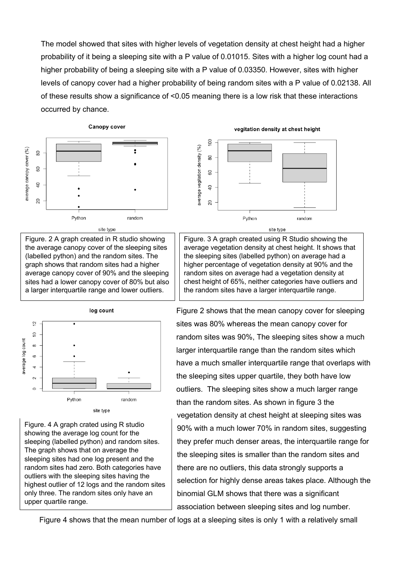The model showed that sites with higher levels of vegetation density at chest height had a higher probability of it being a sleeping site with a P value of 0.01015. Sites with a higher log count had a higher probability of being a sleeping site with a P value of 0.03350. However, sites with higher levels of canopy cover had a higher probability of being random sites with a P value of 0.02138. All of these results show a significance of <0.05 meaning there is a low risk that these interactions occurred by chance.

Canopy cover







Figure. 4 A graph crated using R studio showing the average log count for the sleeping (labelled python) and random sites. The graph shows that on average the sleeping sites had one log present and the random sites had zero. Both categories have outliers with the sleeping sites having the highest outlier of 12 logs and the random sites only three. The random sites only have an upper quartile range.





Figure. 3 A graph created using R Studio showing the average vegetation density at chest height. It shows that the sleeping sites (labelled python) on average had a higher percentage of vegetation density at 90% and the random sites on average had a vegetation density at chest height of 65%, neither categories have outliers and the random sites have a larger interquartile range.

Figure 2 shows that the mean canopy cover for sleeping sites was 80% whereas the mean canopy cover for random sites was 90%, The sleeping sites show a much larger interquartile range than the random sites which have a much smaller interquartile range that overlaps with the sleeping sites upper quartile, they both have low outliers. The sleeping sites show a much larger range than the random sites. As shown in figure 3 the vegetation density at chest height at sleeping sites was 90% with a much lower 70% in random sites, suggesting they prefer much denser areas, the interquartile range for the sleeping sites is smaller than the random sites and there are no outliers, this data strongly supports a selection for highly dense areas takes place. Although the binomial GLM shows that there was a significant association between sleeping sites and log number.

Figure 4 shows that the mean number of logs at a sleeping sites is only 1 with a relatively small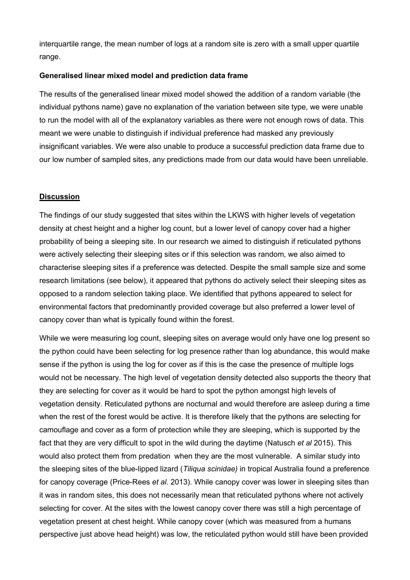interquartile range, the mean number of logs at a random site is zero with a small upper quartile range.

## **Generalised linear mixed model and prediction data frame**

The results of the generalised linear mixed model showed the addition of a random variable (the individual pythons name) gave no explanation of the variation between site type, we were unable to run the model with all of the explanatory variables as there were not enough rows of data. This meant we were unable to distinguish if individual preference had masked any previously insignificant variables. We were also unable to produce a successful prediction data frame due to our low number of sampled sites, any predictions made from our data would have been unreliable.

## **Discussion**

The findings of our study suggested that sites within the LKWS with higher levels of vegetation density at chest height and a higher log count, but a lower level of canopy cover had a higher probability of being a sleeping site. In our research we aimed to distinguish if reticulated pythons were actively selecting their sleeping sites or if this selection was random, we also aimed to characterise sleeping sites if a preference was detected. Despite the small sample size and some research limitations (see below), it appeared that pythons do actively select their sleeping sites as opposed to a random selection taking place. We identified that pythons appeared to select for environmental factors that predominantly provided coverage but also preferred a lower level of canopy cover than what is typically found within the forest.

While we were measuring log count, sleeping sites on average would only have one log present so the python could have been selecting for log presence rather than log abundance, this would make sense if the python is using the log for cover as if this is the case the presence of multiple logs would not be necessary. The high level of vegetation density detected also supports the theory that they are selecting for cover as it would be hard to spot the python amongst high levels of vegetation density. Reticulated pythons are nocturnal and would therefore are asleep during a time when the rest of the forest would be active. It is therefore likely that the pythons are selecting for camouflage and cover as a form of protection while they are sleeping, which is supported by the fact that they are very difficult to spot in the wild during the daytime (Natusch *et al* 2015). This would also protect them from predation when they are the most vulnerable. A similar study into the sleeping sites of the blue-lipped lizard (*Tiliqua scinidae)* in tropical Australia found a preference for canopy coverage (Price-Rees *et al.* 2013). While canopy cover was lower in sleeping sites than it was in random sites, this does not necessarily mean that reticulated pythons where not actively selecting for cover. At the sites with the lowest canopy cover there was still a high percentage of vegetation present at chest height. While canopy cover (which was measured from a humans perspective just above head height) was low, the reticulated python would still have been provided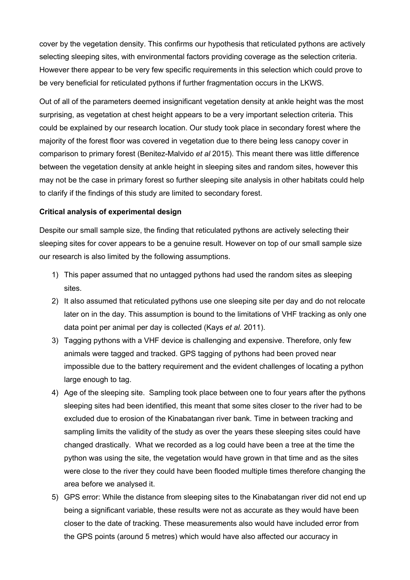cover by the vegetation density. This confirms our hypothesis that reticulated pythons are actively selecting sleeping sites, with environmental factors providing coverage as the selection criteria. However there appear to be very few specific requirements in this selection which could prove to be very beneficial for reticulated pythons if further fragmentation occurs in the LKWS.

Out of all of the parameters deemed insignificant vegetation density at ankle height was the most surprising, as vegetation at chest height appears to be a very important selection criteria. This could be explained by our research location. Our study took place in secondary forest where the majority of the forest floor was covered in vegetation due to there being less canopy cover in comparison to primary forest (Benitez-Malvido *et al* 2015). This meant there was little difference between the vegetation density at ankle height in sleeping sites and random sites, however this may not be the case in primary forest so further sleeping site analysis in other habitats could help to clarify if the findings of this study are limited to secondary forest.

## **Critical analysis of experimental design**

Despite our small sample size, the finding that reticulated pythons are actively selecting their sleeping sites for cover appears to be a genuine result. However on top of our small sample size our research is also limited by the following assumptions.

- 1) This paper assumed that no untagged pythons had used the random sites as sleeping sites.
- 2) It also assumed that reticulated pythons use one sleeping site per day and do not relocate later on in the day. This assumption is bound to the limitations of VHF tracking as only one data point per animal per day is collected (Kays *et al.* 2011).
- 3) Tagging pythons with a VHF device is challenging and expensive. Therefore, only few animals were tagged and tracked. GPS tagging of pythons had been proved near impossible due to the battery requirement and the evident challenges of locating a python large enough to tag.
- 4) Age of the sleeping site. Sampling took place between one to four years after the pythons sleeping sites had been identified, this meant that some sites closer to the river had to be excluded due to erosion of the Kinabatangan river bank. Time in between tracking and sampling limits the validity of the study as over the years these sleeping sites could have changed drastically. What we recorded as a log could have been a tree at the time the python was using the site, the vegetation would have grown in that time and as the sites were close to the river they could have been flooded multiple times therefore changing the area before we analysed it.
- 5) GPS error: While the distance from sleeping sites to the Kinabatangan river did not end up being a significant variable, these results were not as accurate as they would have been closer to the date of tracking. These measurements also would have included error from the GPS points (around 5 metres) which would have also affected our accuracy in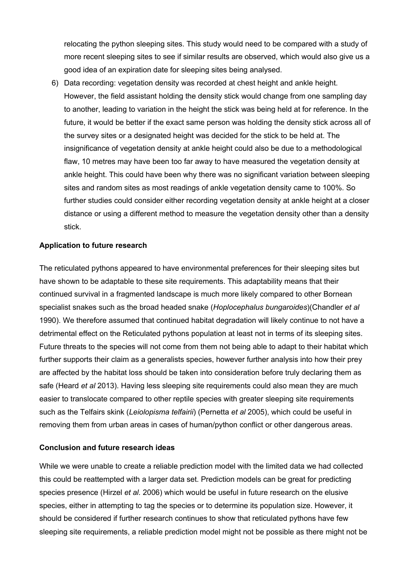relocating the python sleeping sites. This study would need to be compared with a study of more recent sleeping sites to see if similar results are observed, which would also give us a good idea of an expiration date for sleeping sites being analysed.

6) Data recording: vegetation density was recorded at chest height and ankle height. However, the field assistant holding the density stick would change from one sampling day to another, leading to variation in the height the stick was being held at for reference. In the future, it would be better if the exact same person was holding the density stick across all of the survey sites or a designated height was decided for the stick to be held at. The insignificance of vegetation density at ankle height could also be due to a methodological flaw, 10 metres may have been too far away to have measured the vegetation density at ankle height. This could have been why there was no significant variation between sleeping sites and random sites as most readings of ankle vegetation density came to 100%. So further studies could consider either recording vegetation density at ankle height at a closer distance or using a different method to measure the vegetation density other than a density stick.

## **Application to future research**

The reticulated pythons appeared to have environmental preferences for their sleeping sites but have shown to be adaptable to these site requirements. This adaptability means that their continued survival in a fragmented landscape is much more likely compared to other Bornean specialist snakes such as the broad headed snake (*Hoplocephalus bungaroides*)(Chandler *et al* 1990). We therefore assumed that continued habitat degradation will likely continue to not have a detrimental effect on the Reticulated pythons population at least not in terms of its sleeping sites. Future threats to the species will not come from them not being able to adapt to their habitat which further supports their claim as a generalists species, however further analysis into how their prey are affected by the habitat loss should be taken into consideration before truly declaring them as safe (Heard *et al* 2013). Having less sleeping site requirements could also mean they are much easier to translocate compared to other reptile species with greater sleeping site requirements such as the Telfairs skink (*Leiolopisma telfairii*) (Pernetta *et al* 2005), which could be useful in removing them from urban areas in cases of human/python conflict or other dangerous areas.

## **Conclusion and future research ideas**

While we were unable to create a reliable prediction model with the limited data we had collected this could be reattempted with a larger data set. Prediction models can be great for predicting species presence (Hirzel *et al.* 2006) which would be useful in future research on the elusive species, either in attempting to tag the species or to determine its population size. However, it should be considered if further research continues to show that reticulated pythons have few sleeping site requirements, a reliable prediction model might not be possible as there might not be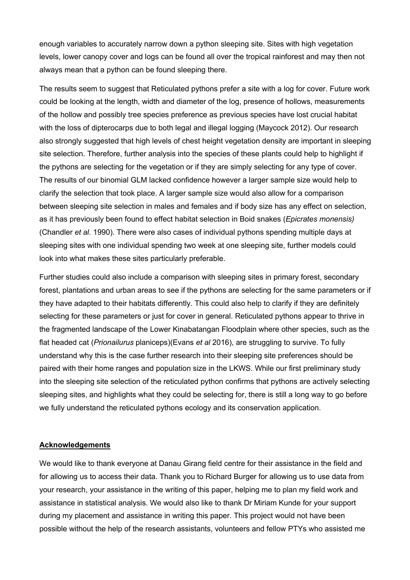enough variables to accurately narrow down a python sleeping site. Sites with high vegetation levels, lower canopy cover and logs can be found all over the tropical rainforest and may then not always mean that a python can be found sleeping there.

The results seem to suggest that Reticulated pythons prefer a site with a log for cover. Future work could be looking at the length, width and diameter of the log, presence of hollows, measurements of the hollow and possibly tree species preference as previous species have lost crucial habitat with the loss of dipterocarps due to both legal and illegal logging (Maycock 2012). Our research also strongly suggested that high levels of chest height vegetation density are important in sleeping site selection. Therefore, further analysis into the species of these plants could help to highlight if the pythons are selecting for the vegetation or if they are simply selecting for any type of cover. The results of our binomial GLM lacked confidence however a larger sample size would help to clarify the selection that took place. A larger sample size would also allow for a comparison between sleeping site selection in males and females and if body size has any effect on selection, as it has previously been found to effect habitat selection in Boid snakes (*Epicrates monensis)*  (Chandler *et al.* 1990). There were also cases of individual pythons spending multiple days at sleeping sites with one individual spending two week at one sleeping site, further models could look into what makes these sites particularly preferable.

Further studies could also include a comparison with sleeping sites in primary forest, secondary forest, plantations and urban areas to see if the pythons are selecting for the same parameters or if they have adapted to their habitats differently. This could also help to clarify if they are definitely selecting for these parameters or just for cover in general. Reticulated pythons appear to thrive in the fragmented landscape of the Lower Kinabatangan Floodplain where other species, such as the flat headed cat (*Prionailurus* planiceps)(Evans *et al* 2016), are struggling to survive. To fully understand why this is the case further research into their sleeping site preferences should be paired with their home ranges and population size in the LKWS. While our first preliminary study into the sleeping site selection of the reticulated python confirms that pythons are actively selecting sleeping sites, and highlights what they could be selecting for, there is still a long way to go before we fully understand the reticulated pythons ecology and its conservation application.

### **Acknowledgements**

We would like to thank everyone at Danau Girang field centre for their assistance in the field and for allowing us to access their data. Thank you to Richard Burger for allowing us to use data from your research, your assistance in the writing of this paper, helping me to plan my field work and assistance in statistical analysis. We would also like to thank Dr Miriam Kunde for your support during my placement and assistance in writing this paper. This project would not have been possible without the help of the research assistants, volunteers and fellow PTYs who assisted me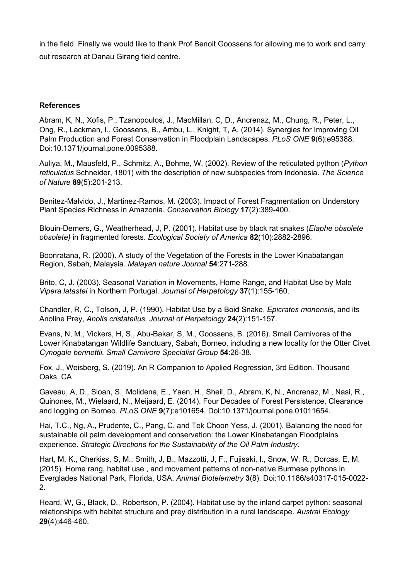in the field. Finally we would like to thank Prof Benoit Goossens for allowing me to work and carry out research at Danau Girang field centre.

# **References**

Abram, K, N., Xofis, P., Tzanopoulos, J., MacMillan, C, D., Ancrenaz, M., Chung, R., Peter, L., Ong, R., Lackman, I., Goossens, B., Ambu, L., Knight, T, A. (2014). Synergies for Improving Oil Palm Production and Forest Conservation in Floodplain Landscapes. *PLoS ONE* **9**(6):e95388. Doi:10.1371/journal.pone.0095388.

Auliya, M., Mausfeld, P., Schmitz, A., Bohme, W. (2002). Review of the reticulated python (*Python reticulatus* Schneider, 1801) with the description of new subspecies from Indonesia. *The Science of Nature* **89**(5):201-213.

Benitez-Malvido, J., Martinez-Ramos, M. (2003). Impact of Forest Fragmentation on Understory Plant Species Richness in Amazonia. *Conservation Biology* **17**(2):389-400.

Blouin-Demers, G., Weatherhead, J, P. (2001). Habitat use by black rat snakes (*Elaphe obsolete obsolete)* in fragmented forests. *Ecological Society of America* **82**(10):2882-2896.

Boonratana, R. (2000). A study of the Vegetation of the Forests in the Lower Kinabatangan Region, Sabah, Malaysia. *Malayan nature Journal* **54**:271-288.

Brito, C, J. (2003). Seasonal Variation in Movements, Home Range, and Habitat Use by Male *Vipera latastei* in Northern Portugal. *Journal of Herpetology* **37**(1):155-160.

Chandler, R, C., Tolson, J, P. (1990). Habitat Use by a Boid Snake, *Epicrates monensis*, and its Anoline Prey, *Anolis cristatellus*. *Journal of Herpetology* **24**(2):151-157.

Evans, N, M., Vickers, H, S., Abu-Bakar, S, M., Goossens, B. (2016). Small Carnivores of the Lower Kinabatangan Wildlife Sanctuary, Sabah, Borneo, including a new locality for the Otter Civet *Cynogale bennettii. Small Carnivore Specialist Group* **54**:26-38.

Fox, J., Weisberg, S. (2019). An R Companion to Applied Regression, 3rd Edition. Thousand Oaks, CA

Gaveau, A, D., Sloan, S., Molidena, E., Yaen, H., Sheil, D., Abram, K, N., Ancrenaz, M., Nasi, R., Quinones, M., Wielaard, N., Meijaard, E. (2014). Four Decades of Forest Persistence, Clearance and logging on Borneo. *PLoS ONE* **9**(7):e101654. Doi:10.1371/journal.pone.01011654.

Hai, T.C., Ng, A., Prudente, C., Pang, C. and Tek Choon Yess, J. (2001). Balancing the need for sustainable oil palm development and conservation: the Lower Kinabatangan Floodplains experience. *Strategic Directions for the Sustainability of the Oil Palm Industry*.

Hart, M, K., Cherkiss, S, M., Smith, J, B., Mazzotti, J, F., Fujisaki, I., Snow, W, R., Dorcas, E, M. (2015). Home rang, habitat use , and movement patterns of non-native Burmese pythons in Everglades National Park, Florida, USA. *Animal Biotelemetry* **3**(8). Doi:10.1186/s40317-015-0022- 2.

Heard, W, G., Black, D., Robertson, P. (2004). Habitat use by the inland carpet python: seasonal relationships with habitat structure and prey distribution in a rural landscape. *Austral Ecology*  **29**(4):446-460.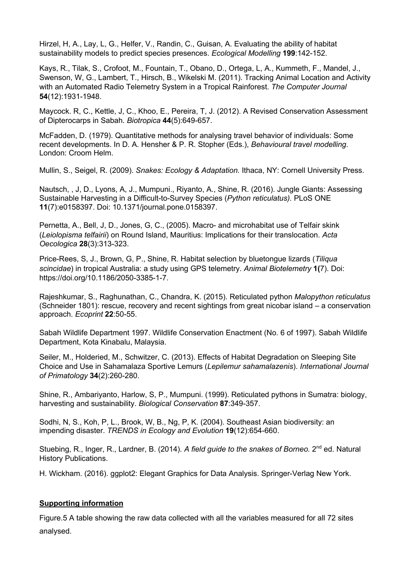Hirzel, H, A., Lay, L, G., Helfer, V., Randin, C., Guisan, A. Evaluating the ability of habitat sustainability models to predict species presences. *Ecological Modelling* **199**:142-152.

Kays, R., Tilak, S., Crofoot, M., Fountain, T., Obano, D., Ortega, L, A., Kummeth, F., Mandel, J., Swenson, W, G., Lambert, T., Hirsch, B., Wikelski M. (2011). Tracking Animal Location and Activity with an Automated Radio Telemetry System in a Tropical Rainforest. *The Computer Journal*  **54**(12):1931-1948.

Maycock. R, C., Kettle, J, C., Khoo, E., Pereira, T, J. (2012). A Revised Conservation Assessment of Dipterocarps in Sabah. *Biotropica* **44**(5):649-657.

McFadden, D. (1979). Quantitative methods for analysing travel behavior of individuals: Some recent developments. In D. A. Hensher & P. R. Stopher (Eds.), *Behavioural travel modelling*. London: Croom Helm.

Mullin, S., Seigel, R. (2009). *Snakes: Ecology & Adaptation.* Ithaca, NY: Cornell University Press.

Nautsch, , J, D., Lyons, A, J., Mumpuni., Riyanto, A., Shine, R. (2016). Jungle Giants: Assessing Sustainable Harvesting in a Difficult-to-Survey Species (*Python reticulatus).* PLoS ONE **11**(7):e0158397. Doi: 10.1371/journal.pone.0158397.

Pernetta, A., Bell, J, D., Jones, G, C., (2005). Macro- and microhabitat use of Telfair skink (*Leiolopisma telfairii*) on Round Island, Mauritius: Implications for their translocation. *Acta Oecologica* **28**(3):313-323.

Price-Rees, S, J., Brown, G, P., Shine, R. Habitat selection by bluetongue lizards (*Tiliqua scincidae*) in tropical Australia: a study using GPS telemetry. *Animal Biotelemetry* **1(**7). Doi: https://doi.org/10.1186/2050-3385-1-7.

Rajeshkumar, S., Raghunathan, C., Chandra, K. (2015). Reticulated python *Malopython reticulatus*  (Schneider 1801): rescue, recovery and recent sightings from great nicobar island – a conservation approach. *Ecoprint* **22**:50-55.

Sabah Wildlife Department 1997. Wildlife Conservation Enactment (No. 6 of 1997). Sabah Wildlife Department, Kota Kinabalu, Malaysia.

Seiler, M., Holderied, M., Schwitzer, C. (2013). Effects of Habitat Degradation on Sleeping Site Choice and Use in Sahamalaza Sportive Lemurs (*Lepilemur sahamalazenis*). *International Journal of Primatology* **34**(2):260-280.

Shine, R., Ambariyanto, Harlow, S, P., Mumpuni. (1999). Reticulated pythons in Sumatra: biology, harvesting and sustainability. *Biological Conservation* **87**:349-357.

Sodhi, N, S., Koh, P, L., Brook, W, B., Ng, P, K. (2004). Southeast Asian biodiversity: an impending disaster. *TRENDS in Ecology and Evolution* **19**(12):654-660.

Stuebing, R., Inger, R., Lardner, B. (2014). *A field guide to the snakes of Borneo.* 2<sup>nd</sup> ed. Natural History Publications.

H. Wickham. (2016). ggplot2: Elegant Graphics for Data Analysis. Springer-Verlag New York.

## **Supporting information**

Figure.5 A table showing the raw data collected with all the variables measured for all 72 sites analysed.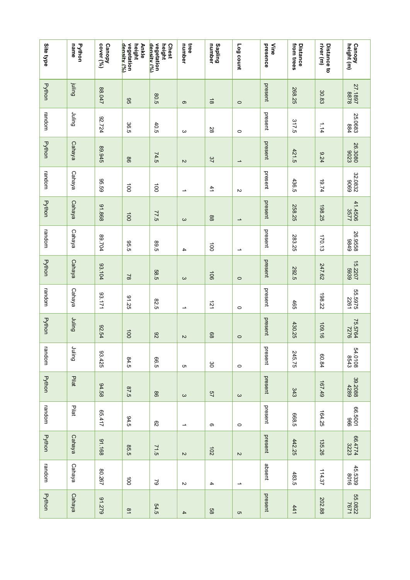| Site type     | name<br>Python | cover (%)<br>Canopy | vegetation<br>density (%)<br>height<br><b>Ankle</b> | density (%)<br>vegetation<br><b>Chest</b><br>height | tree<br>number           | <b>Sapling</b><br>number | Log count     | presence<br>Nine | from trees<br><b>Distance</b> | river (m)<br>Distance to | height (m)<br><b>Canopy</b> |
|---------------|----------------|---------------------|-----------------------------------------------------|-----------------------------------------------------|--------------------------|--------------------------|---------------|------------------|-------------------------------|--------------------------|-----------------------------|
| <b>Python</b> | <b>Bujiní</b>  | 17088               | 95                                                  | 80.5                                                | ၜ                        | $\vec{\circ}$            | $\circ$       | present          | 268.25                        | 30.83                    | 27.1897<br>1897             |
| random        | guilul         | 42724               | 36.5                                                | 40.5                                                | ω                        | 28                       | $\circ$       | present          | 317.5                         | 1.14                     | 25.0683<br>884              |
| <b>Python</b> | Cahaya         | 89.945              | 98                                                  | 74.5                                                | $\sim$                   | 37                       | ∸             | present          | 421.5                         | 9.24                     | 26.3080<br>0023             |
| random        | Cahaya         | 65.59               | $\vec{p}$                                           | $\vec{p}$                                           | $\overline{\phantom{a}}$ | 41                       | $\sim$        | present          | 436.5                         | 19.74                    | 32.0832                     |
| <b>Python</b> | Cahaya         | 81.868              | $\overrightarrow{0}$                                | 77.5                                                | $\omega$                 | $88\,$                   | $\rightarrow$ | present          | 258.25                        | 198.25                   | 41.4506<br>3577             |
| random        | Cahaya         | 107.98              | <b>95.5</b>                                         | 99.5                                                | 4                        | $\vec{a}$                | ∸             | present          | 283.25                        | 170.13                   | 6786<br>8998                |
| Python        | Cahaya         | 93.104              | $\approx$                                           | 585                                                 | $\omega$                 | $\overline{5}$           | $\circ$       | present          | <b>292.5</b>                  | 247.62                   | 22207<br>15.2207            |
| random        | Cahaya         | 17171               | 91.25                                               | 82.5                                                | →                        | $\overline{21}$          | $\circ$       | present          | 465                           | 198.22                   | 55.5975<br>2261             |
| <b>Python</b> | Duilul         | 92.54               | $\overrightarrow{00}$                               | 82                                                  | $\sim$                   | 89                       | $\circ$       | present          | 430.25                        | 109.16                   | 75.5764<br>7276             |
| random        | <b>Duling</b>  | 93.425              | 84.5                                                | 99                                                  | c                        | 80                       | $\circ$       | present          | 245.75                        | 60.84                    | 54.0108<br>8543             |
| Python        | Pilat          | 84.58               | 67.5                                                | $98$                                                | $\omega$                 | 2 <sub>2</sub>           | $\rm \omega$  | present          | 343                           | 167.49                   | 39.2088<br>4289             |
| random        | Pilat          | 1715                | 94.5                                                | $\overline{c}$                                      | $\overline{\phantom{a}}$ | တ                        | $\circ$       | present          | 5885                          | 164.25                   | 996<br>1009 999             |
| <b>Python</b> | Cahaya         | 81.168              | <b>85.5</b>                                         | 71.5                                                | $\sim$                   | 102                      | $\sim$        | present          | 442.25                        | 135.26                   | 66.4774<br>3223             |
| random        | Cahaya         | 80.267              | $\vec{0}$                                           | $\mathfrak{S}$                                      | $\sim$                   | 4                        | ∸             | absent           | 483.5                         | 114.37                   | 45.5339<br>8016             |
| Python        | Cahaya         | 91.279              | $\overline{\mathbf{5}}$                             | 54.5                                                | 4                        | 89                       | G             | present          | 441                           | 202.88                   | 25.0822<br>26.0822          |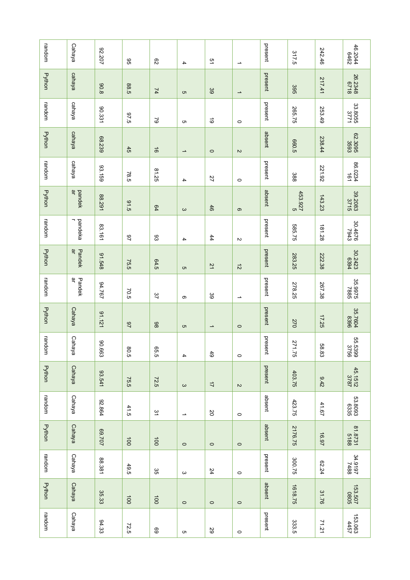| random        | Cahaya        | 22.207        | 96               | $\mathbb{S}2$         | $\overline{\phantom{a}}$ | 51                       | $\overline{\phantom{a}}$ | present | 317.5                 | 242.46   | 46.2044<br>6462      |
|---------------|---------------|---------------|------------------|-----------------------|--------------------------|--------------------------|--------------------------|---------|-----------------------|----------|----------------------|
| <b>Python</b> | cahaya        | 806           | 88.5             | $\overline{z}$        | c                        | 39                       | $\overline{\phantom{a}}$ | present | 395                   | 217.41   | 342348<br>8718       |
| random        | cahaya        | 90.331        | 67.5             | $\mathcal{S}$         | c                        | $\vec{\circ}$            | $\circ$                  | present | 265.75                | 253.49   | 33.8055<br>3771      |
| <b>Python</b> | cahaya        | 68.239        | 45               | $\vec{5}$             | $\rightharpoonup$        | $\circ$                  | $\sim$                   | absent  | <b>660.5</b>          | 238.44   | 82.3095<br>3693      |
| random        | cahaya        | 93.159        | 78.5             | 81.25                 | 4                        | $\overline{27}$          | $\circ$                  | present | 388                   | 221.92   | 86.0234<br>161       |
| Python        | pandek<br>ar  | 88.291        | 91.5             | 64                    | $\mathbf{\omega}$        | 46                       | $\infty$                 | absent  | 453.927<br>c          | 143.23   | 39.2083              |
| random        | pandeka       | 83.161        | 97               | 83                    | 4                        | 44                       | $\sim$                   | present | 585.75                | 181.28   | 9794.08              |
| Python        | ਰੱ<br>Pandek  | 84.548        | 75.5             | 64.5                  | c                        | 21                       | $\vec{z}$                | present | 283.25                | 222.38   | 30.2423<br>82423     |
| random        | ਰੱ<br>Pandek  | 197.167       | 70.5             | 37                    | တ                        | မ္မ                      | ∸                        | present | 278.25                | 267.38   | 35.9975<br>2788.     |
| Python        | <b>Cahaya</b> | 91.121        | $\overline{2}$   | 86                    | c                        | $\overline{\phantom{a}}$ | $\circ$                  | present | 270                   | 17.25    | 35.7604<br>8396      |
| random        | Cahaya        | <b>90.663</b> | <b>80.5</b>      | 95.5                  | 4                        | 6 <sup>1</sup>           | $\circ$                  | present | 271<br>$\overline{5}$ | 88<br>63 | 95.5399<br>965.539   |
| Python        | Cahaya        | 93.541        | 75.5             | 72.5                  | $\boldsymbol{\omega}$    | $\overrightarrow{L}$     | $\sim$                   | present | 403.75                | 3.42     | 45.1512<br>3787      |
| random        | Cahaya        | 92.864        | 41.5             | $\overline{5}$        | $\rightharpoonup$        | 2O                       | $\circ$                  | absent  | 423.75                | 41.67    | 53.8093<br>6335      |
| <b>Python</b> | Cahaya        | 202.69        | $\overline{100}$ | $\overline{100}$      | $\circ$                  | $\circ$                  | $\circ$                  | absent  | 2176.75               | 16.97    | 81.8731<br>518       |
| random        | Cahaya        | 88.381        | 49.5             | 35                    | $\omega$                 | 24                       | $\circ$                  | present | 300.75                | 62.24    | 24.9197<br>1919      |
| Python        | Cahaya        | 35.33         | $\overline{00}$  | $\overrightarrow{00}$ | $\circ$                  | $\circ$                  | $\circ$                  | absent  | 1618.75               | 31.76    | 2080<br>2093<br>2092 |
| random        | Cahaya        | 94.33         | 72.5             | 69                    | c                        | 29                       | $\circ$                  | present | 333.5                 | 71.21    | 153.063              |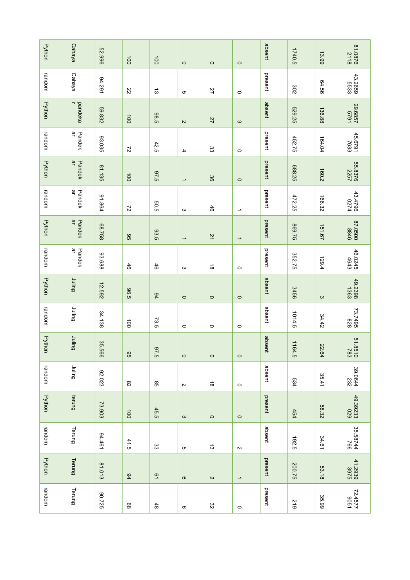| Python        | Cahaya                              | 52.996     | $\overline{100}$ | 100            | $\circ$               | $\circ$                              | $\circ$                  | absent  | 1740.5 | 13.99             | 81.0876            |
|---------------|-------------------------------------|------------|------------------|----------------|-----------------------|--------------------------------------|--------------------------|---------|--------|-------------------|--------------------|
| random        | Cahaya                              | 94.291     | 22               | ದ              | c                     | 27                                   | $\circ$                  | present | 302    | 94.56             | 43.2659<br>5533    |
| Python        | -<br>pandeka                        | 59.832     | 100              | 38.5           | $\sim$                | 27                                   | $\mathbf{\omega}$        | absent  | 529.25 | 136.88            | 1629<br>29.6857    |
| random        | ਰੱ<br>Pandek                        | 33.035     | $\overline{z}$   | 42.5           | 4                     | ပ္ပ                                  | $\circ$                  | present | 452.75 | 164.04            | 45.6791<br>7633    |
| <b>Python</b> | $\overline{\sigma}$<br>Pandek       | 81.135     | $\overline{00}$  | 97.5           | $\rightharpoonup$     | 36                                   | $\circ$                  | present | 688.25 | 160.2             | 55.8376<br>2257    |
| random        | $\overline{\sigma}$<br>Pandek       | 91.864     | $\overline{z}$   | 505            | $\boldsymbol{\omega}$ | 46                                   | $\overline{\phantom{a}}$ | present | 472.25 | 166.32            | 43.4796<br>0274    |
| <b>Python</b> | $\overline{\mathfrak{a}}$<br>Pandek | 88.758     | 95               | 33.5           | $\rightharpoonup$     | $\overline{z}$                       | $\overline{\phantom{a}}$ | present | 869.75 | 151.67            | 97.0500<br>0050.78 |
| random        | ਰੱ<br>Pandek                        | 83.688     | 46               | 46             | $\mathbf{\omega}$     | $\stackrel{\rightharpoonup}{\infty}$ | $\circ$                  | present | 352.75 | 129.4             | 46.0245<br>46.0245 |
| Python        | <b>Duling</b>                       | 12.592     | 96.5             | 94             | $\circ$               | $\circ$                              | $\circ$                  | absent  | 3456   | $\mathbf{\omega}$ | 49.2398            |
| random        | Duilul                              | 34.138     | $\vec{0}$        | 73.5           | $\circ$               | $\circ$                              | $\circ$                  | absent  | 1014.5 | 34.42             | 73.7495<br>828     |
| Python        | <b>Dulling</b>                      | 35.<br>999 | 96               | 5'26           | $\circ$               | $\circ$                              | $\circ$                  | absent  | 1164.5 | 22.64             | 01.85.13           |
| random        | <b>Dulinu</b>                       | 82.023     | $_{\rm 82}$      | $_{\rm g}$     | $\sim$                | $\vec{\circ}$                        | $\circ$                  | absent  | 534    | 35.41             | 39.0644            |
| Python        | terung                              | 73.903     | $\overline{5}$   | 45.5           | $\omega$              | $\circ$                              | $\circ$                  | present | 454    | 58.32             | 49.39233           |
| random        | Terung                              | 94.461     | 41.5             | ပ္ပ            | ຕ                     | ದ                                    | $\sim$                   | absent  | 192.5  | 34.61             | 35.58744<br>766    |
| Python        | Terung                              | 81.013     | 94               | $\overline{6}$ | $\mathbf{\Omega}$     | $\boldsymbol{\mathsf{N}}$            | $\rightharpoonup$        | present | 200.75 | 53.18             | 41.2939<br>3975    |
| random        | Terung                              | 30.725     | $89\,$           | $48$           | တ                     | 32                                   | $\circ$                  | present | 219    | 35.99             | 72.4577<br>1734.27 |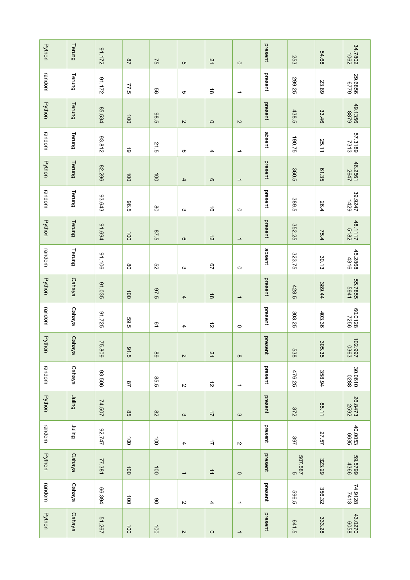| <b>Python</b> | Terung        | 21.172  | $\overline{28}$       | $\overline{5}$        | c                         | $\overline{2}$                       | $\circ$                  | present | 253           | 54.68     | 34.7802            |
|---------------|---------------|---------|-----------------------|-----------------------|---------------------------|--------------------------------------|--------------------------|---------|---------------|-----------|--------------------|
| random        | Terung        | 91.172  | 77.5                  | 99                    | c                         | $\stackrel{\rightharpoonup}{\infty}$ | ∸                        | present | 299.25        | 23.89     | 8229<br>999962     |
| Python        | Terung        | 85.534  | 100                   | 38.5                  | $\sim$                    | $\circ$                              | $\sim$                   | present | 438.5         | 33.46     | 49.1356<br>0351.94 |
| random        | Terung        | 23.812  | $\vec{\circ}$         | 21.5                  | တ                         | 4                                    | ∸                        | absent  | 190.75        | 25.11     | 57.3189<br>0818.73 |
| <b>Python</b> | Terung        | 82.296  | 100                   | $\overline{00}$       | $\overline{\mathbf{4}}$   | ၜ                                    | ∸                        | present | 360.5         | 61.35     | 46.2561<br>2647    |
| random        | Terung        | 93.643  | 96.5                  | $_{\rm 8}$            | $\mathbf{\omega}$         | $\vec{5}$                            | $\circ$                  | present | 389.5         | 26.4      | 29.9247<br>1429    |
| Python        | Terung        | 91.694  | 100                   | 67.5                  | တ                         | $\vec{v}$                            | ∸                        | present | 352.25        | 75.4      | 48.1117<br>5182    |
| random        | Terung        | 91.106  | 80                    | S2                    | ယ                         | 29                                   | $\circ$                  | absent  | 323.75        | 30.13     | 45.2868<br>4316    |
| Python        | Cahaya        | 91.035  | $\overrightarrow{00}$ | 67.5                  | $\mathbf 4$               | $\vec{\infty}$                       | $\rightarrow$            | present | 428.5         | 389.44    | 1785.7855          |
| random        | Cahaya        | 91.725  | 59.5                  | 51                    | 4                         | $\vec{v}$                            | $\circ$                  | present | 303.25        | 403.36    | 80.0128<br>7256    |
| Python        | Cahaya        | 75.809  | 91.5                  | $_{68}$               | $\sim$                    | $\overline{z}$                       | $\infty$                 | present | 538           | 305<br>35 | 102.997            |
| random        | Cahaya        | 93.506  | $^{28}$               | 95.5                  | $\sim$                    | $\vec{v}$                            | $\overline{\phantom{a}}$ | present | 476.25        | 358.94    | 30.0610<br>0788    |
| Python        | Bujinr        | 74.507  | $95^{\circ}$          | $82\,$                | $\omega$                  | $\overrightarrow{L}$                 | $\rm \omega$             | present | 372           | 85.11     | 26.8473<br>2592    |
| random        | gniliul       | 747.747 | $\overrightarrow{0}$  | $\overrightarrow{0}$  | 4                         | $\overrightarrow{L}$                 | $\sim$                   | present | 397           | 27.57     | 40.0053<br>6635    |
| <b>Python</b> | Cahaya        | 77.381  | $\overline{00}$       | $\overline{00}$       | $\overline{\phantom{a}}$  | $\overrightarrow{\tau}$              | $\circ$                  | present | 2<br>289' 295 | 323.29    | 9925<br>6675.99    |
| random        | Cahaya        | 66.394  | $\vec{0}$             | 8                     | $\sim$                    | 4                                    | ∸                        | present | 5965          | 356.32    | 74.9128<br>8219.   |
| Python        | <b>Cahaya</b> | 51.267  | $\overline{5}$        | $\overrightarrow{00}$ | $\boldsymbol{\mathsf{N}}$ | $\circ$                              | $\rightarrow$            | present | 641.5         | 333.28    | 43.0270<br>6058    |